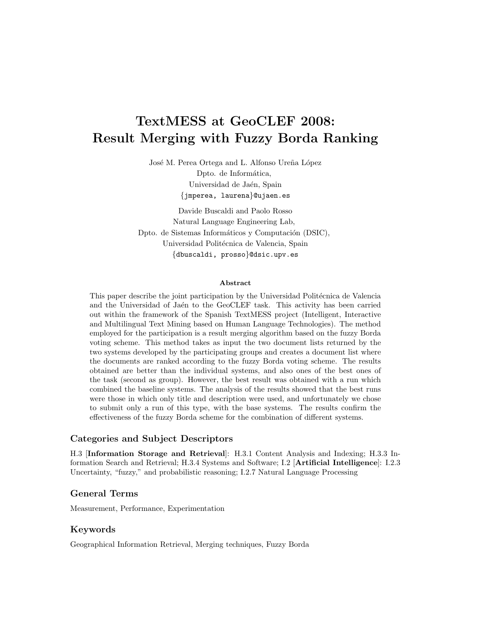# TextMESS at GeoCLEF 2008: Result Merging with Fuzzy Borda Ranking

José M. Perea Ortega and L. Alfonso Ureña López Dpto. de Informática, Universidad de Jaén, Spain {jmperea, laurena}@ujaen.es

Davide Buscaldi and Paolo Rosso Natural Language Engineering Lab, Dpto. de Sistemas Informáticos y Computación (DSIC), Universidad Politécnica de Valencia, Spain {dbuscaldi, prosso}@dsic.upv.es

#### Abstract

This paper describe the joint participation by the Universidad Politécnica de Valencia and the Universidad of Jaén to the GeoCLEF task. This activity has been carried out within the framework of the Spanish TextMESS project (Intelligent, Interactive and Multilingual Text Mining based on Human Language Technologies). The method employed for the participation is a result merging algorithm based on the fuzzy Borda voting scheme. This method takes as input the two document lists returned by the two systems developed by the participating groups and creates a document list where the documents are ranked according to the fuzzy Borda voting scheme. The results obtained are better than the individual systems, and also ones of the best ones of the task (second as group). However, the best result was obtained with a run which combined the baseline systems. The analysis of the results showed that the best runs were those in which only title and description were used, and unfortunately we chose to submit only a run of this type, with the base systems. The results confirm the effectiveness of the fuzzy Borda scheme for the combination of different systems.

#### Categories and Subject Descriptors

H.3 [Information Storage and Retrieval]: H.3.1 Content Analysis and Indexing; H.3.3 Information Search and Retrieval; H.3.4 Systems and Software; I.2 [Artificial Intelligence]: I.2.3 Uncertainty, "fuzzy," and probabilistic reasoning; I.2.7 Natural Language Processing

#### General Terms

Measurement, Performance, Experimentation

#### Keywords

Geographical Information Retrieval, Merging techniques, Fuzzy Borda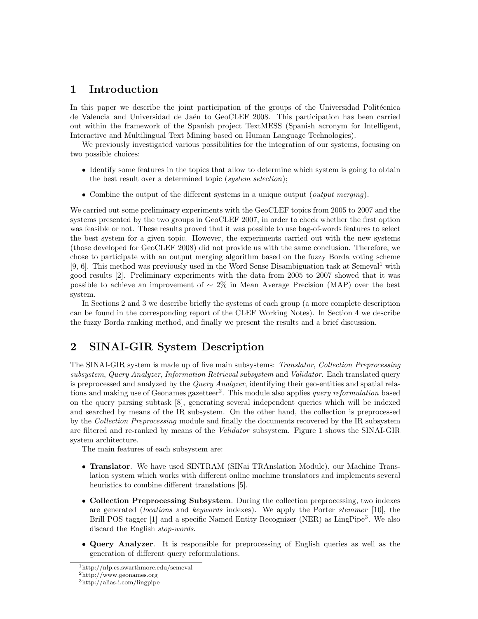# 1 Introduction

In this paper we describe the joint participation of the groups of the Universidad Politécnica de Valencia and Universidad de Jaén to GeoCLEF 2008. This participation has been carried out within the framework of the Spanish project TextMESS (Spanish acronym for Intelligent, Interactive and Multilingual Text Mining based on Human Language Technologies).

We previously investigated various possibilities for the integration of our systems, focusing on two possible choices:

- Identify some features in the topics that allow to determine which system is going to obtain the best result over a determined topic (system selection);
- Combine the output of the different systems in a unique output (*output merging*).

We carried out some preliminary experiments with the GeoCLEF topics from 2005 to 2007 and the systems presented by the two groups in GeoCLEF 2007, in order to check whether the first option was feasible or not. These results proved that it was possible to use bag-of-words features to select the best system for a given topic. However, the experiments carried out with the new systems (those developed for GeoCLEF 2008) did not provide us with the same conclusion. Therefore, we chose to participate with an output merging algorithm based on the fuzzy Borda voting scheme [9, 6]. This method was previously used in the Word Sense Disambiguation task at Semeval<sup>1</sup> with good results [2]. Preliminary experiments with the data from 2005 to 2007 showed that it was possible to achieve an improvement of  $\sim 2\%$  in Mean Average Precision (MAP) over the best system.

In Sections 2 and 3 we describe briefly the systems of each group (a more complete description can be found in the corresponding report of the CLEF Working Notes). In Section 4 we describe the fuzzy Borda ranking method, and finally we present the results and a brief discussion.

# 2 SINAI-GIR System Description

The SINAI-GIR system is made up of five main subsystems: Translator, Collection Preprocessing subsystem, Query Analyzer, Information Retrieval subsystem and Validator. Each translated query is preprocessed and analyzed by the *Query Analyzer*, identifying their geo-entities and spatial relations and making use of Geonames gazetteer<sup>2</sup>. This module also applies *query reformulation* based on the query parsing subtask [8], generating several independent queries which will be indexed and searched by means of the IR subsystem. On the other hand, the collection is preprocessed by the Collection Preprocessing module and finally the documents recovered by the IR subsystem are filtered and re-ranked by means of the Validator subsystem. Figure 1 shows the SINAI-GIR system architecture.

The main features of each subsystem are:

- Translator. We have used SINTRAM (SINai TRAnslation Module), our Machine Translation system which works with different online machine translators and implements several heuristics to combine different translations [5].
- Collection Preprocessing Subsystem. During the collection preprocessing, two indexes are generated (locations and keywords indexes). We apply the Porter stemmer [10], the Brill POS tagger [1] and a specific Named Entity Recognizer (NER) as LingPipe<sup>3</sup>. We also discard the English stop-words.
- Query Analyzer. It is responsible for preprocessing of English queries as well as the generation of different query reformulations.

<sup>1</sup>http://nlp.cs.swarthmore.edu/semeval

<sup>2</sup>http://www.geonames.org

 $3$ http://alias-i.com/lingpipe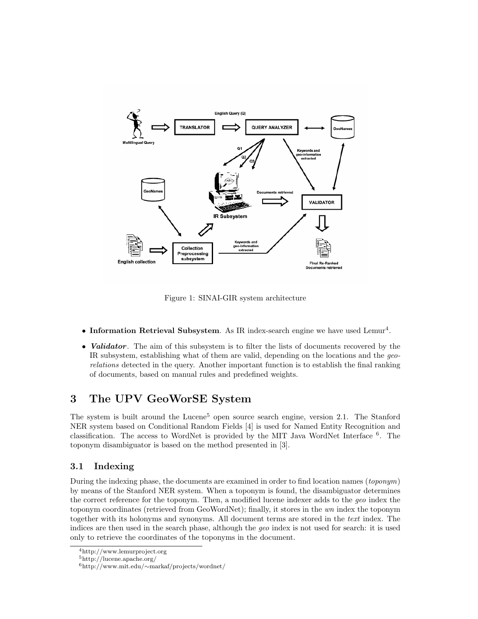

Figure 1: SINAI-GIR system architecture

- Information Retrieval Subsystem. As IR index-search engine we have used Lemur<sup>4</sup>.
- Validator. The aim of this subsystem is to filter the lists of documents recovered by the IR subsystem, establishing what of them are valid, depending on the locations and the georelations detected in the query. Another important function is to establish the final ranking of documents, based on manual rules and predefined weights.

# 3 The UPV GeoWorSE System

The system is built around the Lucene<sup>5</sup> open source search engine, version 2.1. The Stanford NER system based on Conditional Random Fields [4] is used for Named Entity Recognition and classification. The access to WordNet is provided by the MIT Java WordNet Interface <sup>6</sup> . The toponym disambiguator is based on the method presented in [3].

## 3.1 Indexing

During the indexing phase, the documents are examined in order to find location names (toponym) by means of the Stanford NER system. When a toponym is found, the disambiguator determines the correct reference for the toponym. Then, a modified lucene indexer adds to the geo index the toponym coordinates (retrieved from GeoWordNet); finally, it stores in the wn index the toponym together with its holonyms and synonyms. All document terms are stored in the text index. The indices are then used in the search phase, although the geo index is not used for search: it is used only to retrieve the coordinates of the toponyms in the document.

<sup>4</sup>http://www.lemurproject.org

<sup>5</sup>http://lucene.apache.org/

<sup>6</sup>http://www.mit.edu/∼markaf/projects/wordnet/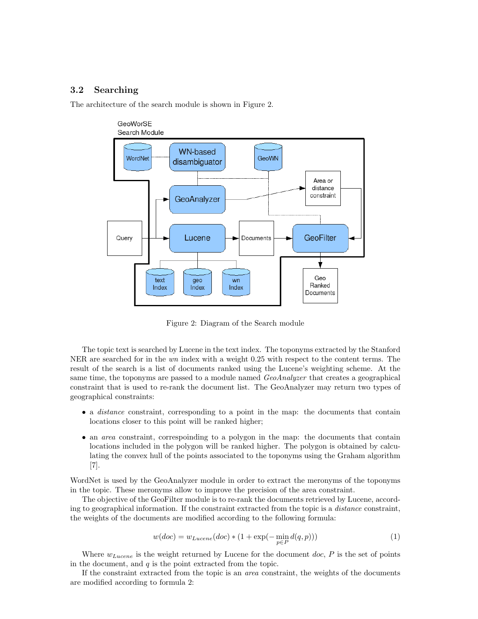### 3.2 Searching

The architecture of the search module is shown in Figure 2.



Figure 2: Diagram of the Search module

The topic text is searched by Lucene in the text index. The toponyms extracted by the Stanford NER are searched for in the wn index with a weight 0.25 with respect to the content terms. The result of the search is a list of documents ranked using the Lucene's weighting scheme. At the same time, the toponyms are passed to a module named *GeoAnalyzer* that creates a geographical constraint that is used to re-rank the document list. The GeoAnalyzer may return two types of geographical constraints:

- a *distance* constraint, corresponding to a point in the map: the documents that contain locations closer to this point will be ranked higher;
- an *area* constraint, correspoinding to a polygon in the map: the documents that contain locations included in the polygon will be ranked higher. The polygon is obtained by calculating the convex hull of the points associated to the toponyms using the Graham algorithm [7].

WordNet is used by the GeoAnalyzer module in order to extract the meronyms of the toponyms in the topic. These meronyms allow to improve the precision of the area constraint.

The objective of the GeoFilter module is to re-rank the documents retrieved by Lucene, according to geographical information. If the constraint extracted from the topic is a *distance* constraint, the weights of the documents are modified according to the following formula:

$$
w(doc) = w_{Lucene}(doc) * (1 + \exp(-\min_{p \in P} d(q, p)))
$$
\n(1)

Where  $w_{Lucene}$  is the weight returned by Lucene for the document doc,  $P$  is the set of points in the document, and  $q$  is the point extracted from the topic.

If the constraint extracted from the topic is an area constraint, the weights of the documents are modified according to formula 2: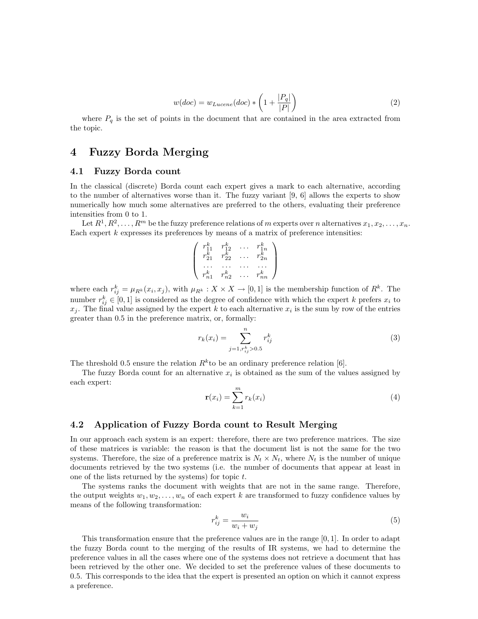$$
w(doc) = w_{Lucene}(doc) * \left(1 + \frac{|P_q|}{|P|}\right)
$$
\n<sup>(2)</sup>

where  $P_q$  is the set of points in the document that are contained in the area extracted from the topic.

## 4 Fuzzy Borda Merging

#### 4.1 Fuzzy Borda count

In the classical (discrete) Borda count each expert gives a mark to each alternative, according to the number of alternatives worse than it. The fuzzy variant [9, 6] allows the experts to show numerically how much some alternatives are preferred to the others, evaluating their preference intensities from 0 to 1.

Let  $R^1, R^2, \ldots, R^m$  be the fuzzy preference relations of m experts over n alternatives  $x_1, x_2, \ldots, x_n$ . Each expert  $k$  expresses its preferences by means of a matrix of preference intensities:

$$
\left(\begin{array}{cccc}r_{11}^k & r_{12}^k & \ldots & r_{1n}^k \\r_{21}^k & r_{22}^k & \ldots & r_{2n}^k \\ \ldots & \ldots & \ldots & \ldots \\r_{n1}^k & r_{n2}^k & \ldots & r_{nn}^k\end{array}\right)
$$

where each  $r_{ij}^k = \mu_{R^k}(x_i, x_j)$ , with  $\mu_{R^k}: X \times X \to [0, 1]$  is the membership function of  $R^k$ . The number  $r_{ij}^k \in [0,1]$  is considered as the degree of confidence with which the expert k prefers  $x_i$  to  $x_j$ . The final value assigned by the expert k to each alternative  $x_i$  is the sum by row of the entries greater than 0.5 in the preference matrix, or, formally:

$$
r_k(x_i) = \sum_{j=1, r_{ij}^k > 0.5}^{n} r_{ij}^k
$$
 (3)

The threshold 0.5 ensure the relation  $R^k$  to be an ordinary preference relation [6].

The fuzzy Borda count for an alternative  $x_i$  is obtained as the sum of the values assigned by each expert:

$$
\mathbf{r}(x_i) = \sum_{k=1}^{m} r_k(x_i) \tag{4}
$$

#### 4.2 Application of Fuzzy Borda count to Result Merging

In our approach each system is an expert: therefore, there are two preference matrices. The size of these matrices is variable: the reason is that the document list is not the same for the two systems. Therefore, the size of a preference matrix is  $N_t \times N_t$ , where  $N_t$  is the number of unique documents retrieved by the two systems (i.e. the number of documents that appear at least in one of the lists returned by the systems) for topic  $t$ .

The systems ranks the document with weights that are not in the same range. Therefore, the output weights  $w_1, w_2, \ldots, w_n$  of each expert k are transformed to fuzzy confidence values by means of the following transformation:

$$
r_{ij}^k = \frac{w_i}{w_i + w_j} \tag{5}
$$

This transformation ensure that the preference values are in the range [0, 1]. In order to adapt the fuzzy Borda count to the merging of the results of IR systems, we had to determine the preference values in all the cases where one of the systems does not retrieve a document that has been retrieved by the other one. We decided to set the preference values of these documents to 0.5. This corresponds to the idea that the expert is presented an option on which it cannot express a preference.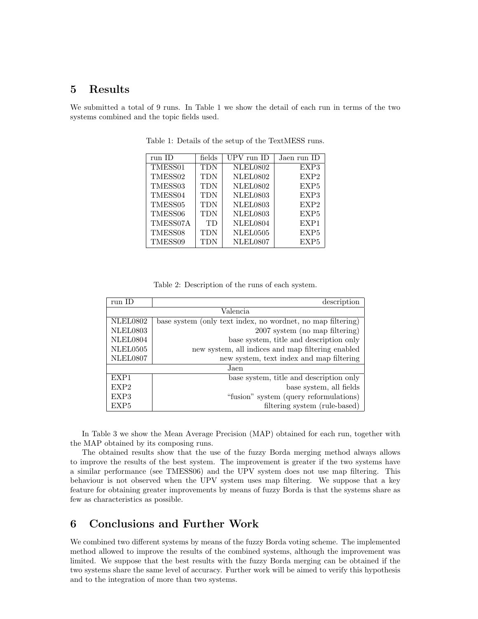## 5 Results

We submitted a total of 9 runs. In Table 1 we show the detail of each run in terms of the two systems combined and the topic fields used.

| run ID              | fields    | UPV run ID      | Jaen run ID      |
|---------------------|-----------|-----------------|------------------|
| TMESS01             | TDN       | <b>NLEL0802</b> | EXP3             |
| TMESS02             | TDN       | <b>NLEL0802</b> | EXP <sub>2</sub> |
| TMESS <sub>03</sub> | TDN       | <b>NLEL0802</b> | EXP <sub>5</sub> |
| TMESS04             | TDN       | <b>NLEL0803</b> | EXP3             |
| TMESS <sub>05</sub> | TDN       | <b>NLEL0803</b> | EXP <sub>2</sub> |
| TMESS06             | TDN       | <b>NLEL0803</b> | EXP <sub>5</sub> |
| TMESS07A            | <b>TD</b> | NLEL0804        | EXP1             |
| TMESS08             | TDN       | NLEL0505        | EXP <sub>5</sub> |
| TMESS09             | TDN       | NLEL0807        | EXP <sub>5</sub> |

Table 1: Details of the setup of the TextMESS runs.

Table 2: Description of the runs of each system.

| run ID           | description                                                 |  |  |  |  |  |
|------------------|-------------------------------------------------------------|--|--|--|--|--|
| Valencia         |                                                             |  |  |  |  |  |
| NLEL0802         | base system (only text index, no wordnet, no map filtering) |  |  |  |  |  |
| <b>NLEL0803</b>  | 2007 system (no map filtering)                              |  |  |  |  |  |
| NLEL0804         | base system, title and description only                     |  |  |  |  |  |
| NLEL0505         | new system, all indices and map filtering enabled           |  |  |  |  |  |
| NLEL0807         | new system, text index and map filtering                    |  |  |  |  |  |
| Jaen             |                                                             |  |  |  |  |  |
| EXP1             | base system, title and description only                     |  |  |  |  |  |
| EXP <sub>2</sub> | base system, all fields                                     |  |  |  |  |  |
| EXP3             | "fusion" system (query reformulations)                      |  |  |  |  |  |
| EXP <sub>5</sub> | filtering system (rule-based)                               |  |  |  |  |  |

In Table 3 we show the Mean Average Precision (MAP) obtained for each run, together with the MAP obtained by its composing runs.

The obtained results show that the use of the fuzzy Borda merging method always allows to improve the results of the best system. The improvement is greater if the two systems have a similar performance (see TMESS06) and the UPV system does not use map filtering. This behaviour is not observed when the UPV system uses map filtering. We suppose that a key feature for obtaining greater improvements by means of fuzzy Borda is that the systems share as few as characteristics as possible.

# 6 Conclusions and Further Work

We combined two different systems by means of the fuzzy Borda voting scheme. The implemented method allowed to improve the results of the combined systems, although the improvement was limited. We suppose that the best results with the fuzzy Borda merging can be obtained if the two systems share the same level of accuracy. Further work will be aimed to verify this hypothesis and to the integration of more than two systems.